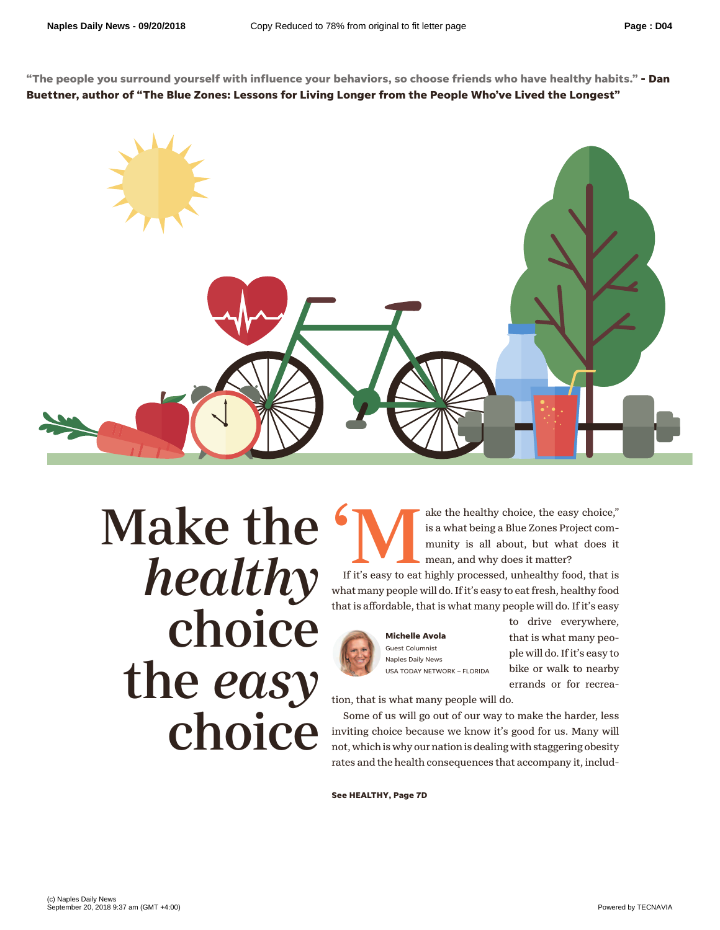**"The people you surround yourself with influence your behaviors, so choose friends who have healthy habits." - Dan Buettner, author of "The Blue Zones: Lessons for Living Longer from the People Who've Lived the Longest"**



## Make the *healthy* choice the *easy* choice

s a what being a Blue Zones Project community is all about, but what does it mean, and why does it matter? is a what being a Blue Zones Project community is all about, but what does it mean, and why does it matter?

If it's easy to eat highly processed, unhealthy food, that is what many people will do. If it's easy to eat fresh, healthy food that is affordable, that is what many people will do. If it's easy



**Michelle Avola** Guest Columnist Naples Daily News USA TODAY NETWORK – FLORIDA to drive everywhere, that is what many people will do. If it's easy to bike or walk to nearby errands or for recrea-

tion, that is what many people will do.

Some of us will go out of our way to make the harder, less inviting choice because we know it's good for us. Many will not, which is why our nation is dealing with staggering obesity rates and the health consequences that accompany it, includ-

**See HEALTHY, Page 7D**